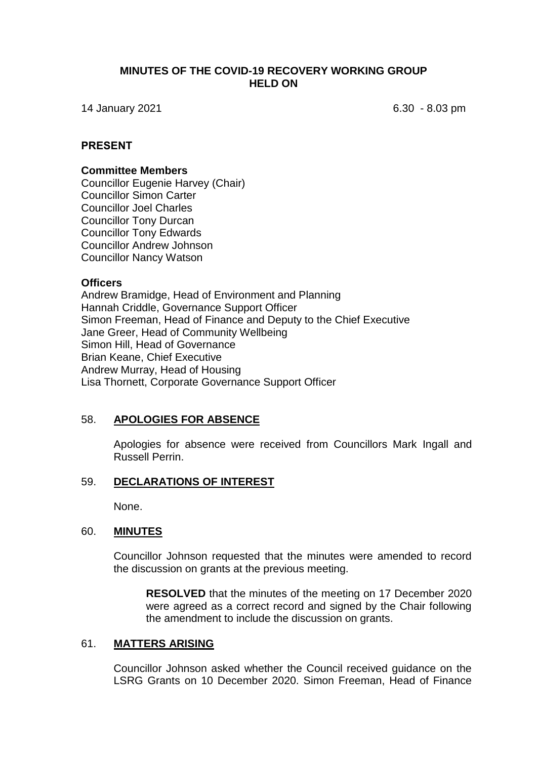## **MINUTES OF THE COVID-19 RECOVERY WORKING GROUP HELD ON**

14 January 2021 6.30 - 8.03 pm

# **PRESENT**

### **Committee Members**

Councillor Eugenie Harvey (Chair) Councillor Simon Carter Councillor Joel Charles Councillor Tony Durcan Councillor Tony Edwards Councillor Andrew Johnson Councillor Nancy Watson

#### **Officers**

Andrew Bramidge, Head of Environment and Planning Hannah Criddle, Governance Support Officer Simon Freeman, Head of Finance and Deputy to the Chief Executive Jane Greer, Head of Community Wellbeing Simon Hill, Head of Governance Brian Keane, Chief Executive Andrew Murray, Head of Housing Lisa Thornett, Corporate Governance Support Officer

#### 58. **APOLOGIES FOR ABSENCE**

Apologies for absence were received from Councillors Mark Ingall and Russell Perrin.

## 59. **DECLARATIONS OF INTEREST**

None.

#### 60. **MINUTES**

Councillor Johnson requested that the minutes were amended to record the discussion on grants at the previous meeting.

**RESOLVED** that the minutes of the meeting on 17 December 2020 were agreed as a correct record and signed by the Chair following the amendment to include the discussion on grants.

#### 61. **MATTERS ARISING**

Councillor Johnson asked whether the Council received guidance on the LSRG Grants on 10 December 2020. Simon Freeman, Head of Finance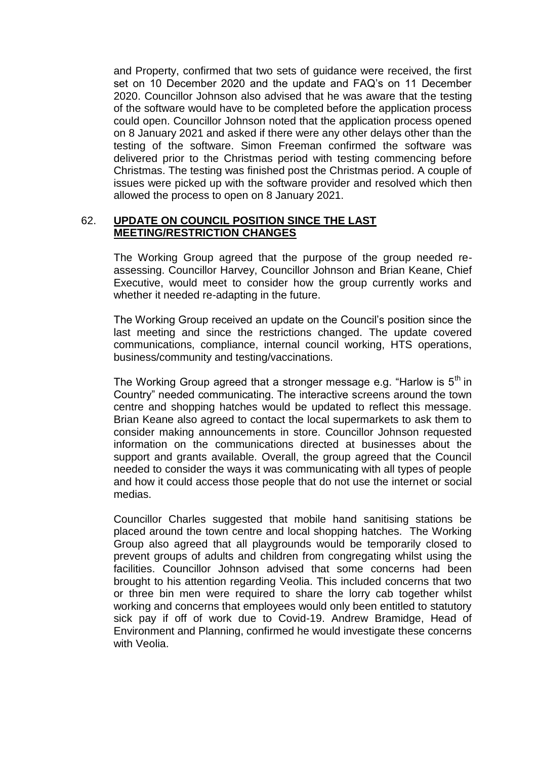and Property, confirmed that two sets of guidance were received, the first set on 10 December 2020 and the update and FAQ's on 11 December 2020. Councillor Johnson also advised that he was aware that the testing of the software would have to be completed before the application process could open. Councillor Johnson noted that the application process opened on 8 January 2021 and asked if there were any other delays other than the testing of the software. Simon Freeman confirmed the software was delivered prior to the Christmas period with testing commencing before Christmas. The testing was finished post the Christmas period. A couple of issues were picked up with the software provider and resolved which then allowed the process to open on 8 January 2021.

# 62. **UPDATE ON COUNCIL POSITION SINCE THE LAST MEETING/RESTRICTION CHANGES**

The Working Group agreed that the purpose of the group needed reassessing. Councillor Harvey, Councillor Johnson and Brian Keane, Chief Executive, would meet to consider how the group currently works and whether it needed re-adapting in the future.

The Working Group received an update on the Council's position since the last meeting and since the restrictions changed. The update covered communications, compliance, internal council working, HTS operations, business/community and testing/vaccinations.

The Working Group agreed that a stronger message e.g. "Harlow is  $5<sup>th</sup>$  in Country" needed communicating. The interactive screens around the town centre and shopping hatches would be updated to reflect this message. Brian Keane also agreed to contact the local supermarkets to ask them to consider making announcements in store. Councillor Johnson requested information on the communications directed at businesses about the support and grants available. Overall, the group agreed that the Council needed to consider the ways it was communicating with all types of people and how it could access those people that do not use the internet or social medias.

Councillor Charles suggested that mobile hand sanitising stations be placed around the town centre and local shopping hatches. The Working Group also agreed that all playgrounds would be temporarily closed to prevent groups of adults and children from congregating whilst using the facilities. Councillor Johnson advised that some concerns had been brought to his attention regarding Veolia. This included concerns that two or three bin men were required to share the lorry cab together whilst working and concerns that employees would only been entitled to statutory sick pay if off of work due to Covid-19. Andrew Bramidge, Head of Environment and Planning, confirmed he would investigate these concerns with Veolia.